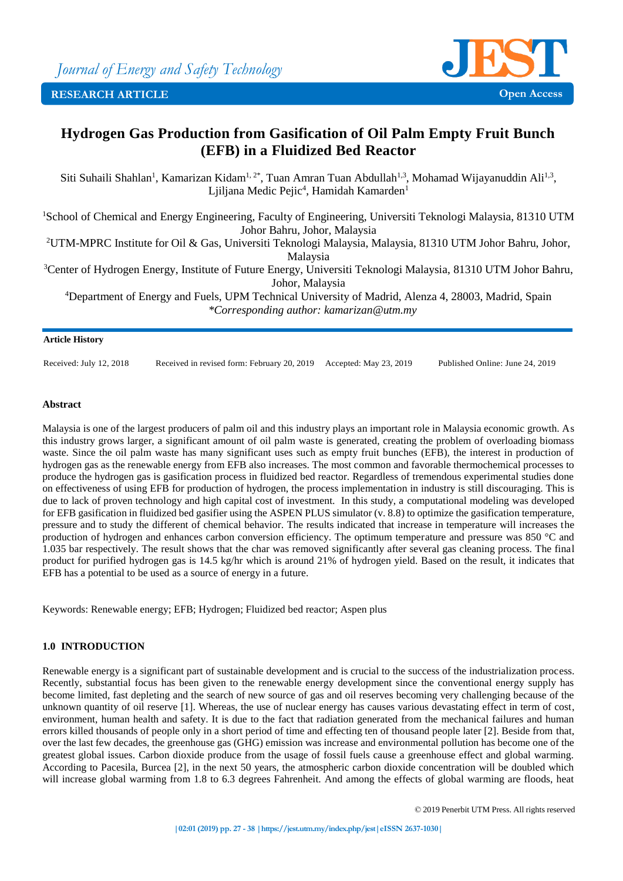

# **Hydrogen Gas Production from Gasification of Oil Palm Empty Fruit Bunch (EFB) in a Fluidized Bed Reactor**

Siti Suhaili Shahlan<sup>1</sup>, Kamarizan Kidam<sup>1, 2\*</sup>, Tuan Amran Tuan Abdullah<sup>1,3</sup>, Mohamad Wijayanuddin Ali<sup>1,3</sup>, Ljiljana Medic Pejic<sup>4</sup>, Hamidah Kamarden<sup>1</sup>

<sup>1</sup>School of Chemical and Energy Engineering, Faculty of Engineering, Universiti Teknologi Malaysia, 81310 UTM Johor Bahru, Johor, Malaysia

<sup>2</sup>UTM-MPRC Institute for Oil & Gas, Universiti Teknologi Malaysia, Malaysia, 81310 UTM Johor Bahru, Johor, Malaysia

<sup>3</sup>Center of Hydrogen Energy, Institute of Future Energy, Universiti Teknologi Malaysia, 81310 UTM Johor Bahru, Johor, Malaysia

<sup>4</sup>Department of Energy and Fuels, UPM Technical University of Madrid, Alenza 4, 28003, Madrid, Spain *\*Corresponding author: kamarizan@utm.my*

### **Article History**

Received: July 12, 2018 Received in revised form: February 20, 2019 Accepted: May 23, 2019 Published Online: June 24, 2019

### **Abstract**

Malaysia is one of the largest producers of palm oil and this industry plays an important role in Malaysia economic growth. As this industry grows larger, a significant amount of oil palm waste is generated, creating the problem of overloading biomass waste. Since the oil palm waste has many significant uses such as empty fruit bunches (EFB), the interest in production of hydrogen gas as the renewable energy from EFB also increases. The most common and favorable thermochemical processes to produce the hydrogen gas is gasification process in fluidized bed reactor. Regardless of tremendous experimental studies done on effectiveness of using EFB for production of hydrogen, the process implementation in industry is still discouraging. This is due to lack of proven technology and high capital cost of investment. In this study, a computational modeling was developed for EFB gasification in fluidized bed gasifier using the ASPEN PLUS simulator (v. 8.8) to optimize the gasification temperature, pressure and to study the different of chemical behavior. The results indicated that increase in temperature will increases the production of hydrogen and enhances carbon conversion efficiency. The optimum temperature and pressure was 850 °C and 1.035 bar respectively. The result shows that the char was removed significantly after several gas cleaning process. The final product for purified hydrogen gas is 14.5 kg/hr which is around 21% of hydrogen yield. Based on the result, it indicates that EFB has a potential to be used as a source of energy in a future.

Keywords: Renewable energy; EFB; Hydrogen; Fluidized bed reactor; Aspen plus

## **1.0 INTRODUCTION**

Renewable energy is a significant part of sustainable development and is crucial to the success of the industrialization process. Recently, substantial focus has been given to the renewable energy development since the conventional energy supply has become limited, fast depleting and the search of new source of gas and oil reserves becoming very challenging because of the unknown quantity of oil reserve [1]. Whereas, the use of nuclear energy has causes various devastating effect in term of cost, environment, human health and safety. It is due to the fact that radiation generated from the mechanical failures and human errors killed thousands of people only in a short period of time and effecting ten of thousand people later [2]. Beside from that, over the last few decades, the greenhouse gas (GHG) emission was increase and environmental pollution has become one of the greatest global issues. Carbon dioxide produce from the usage of fossil fuels cause a greenhouse effect and global warming. According to Pacesila, Burcea [2], in the next 50 years, the atmospheric carbon dioxide concentration will be doubled which will increase global warming from 1.8 to 6.3 degrees Fahrenheit. And among the effects of global warming are floods, heat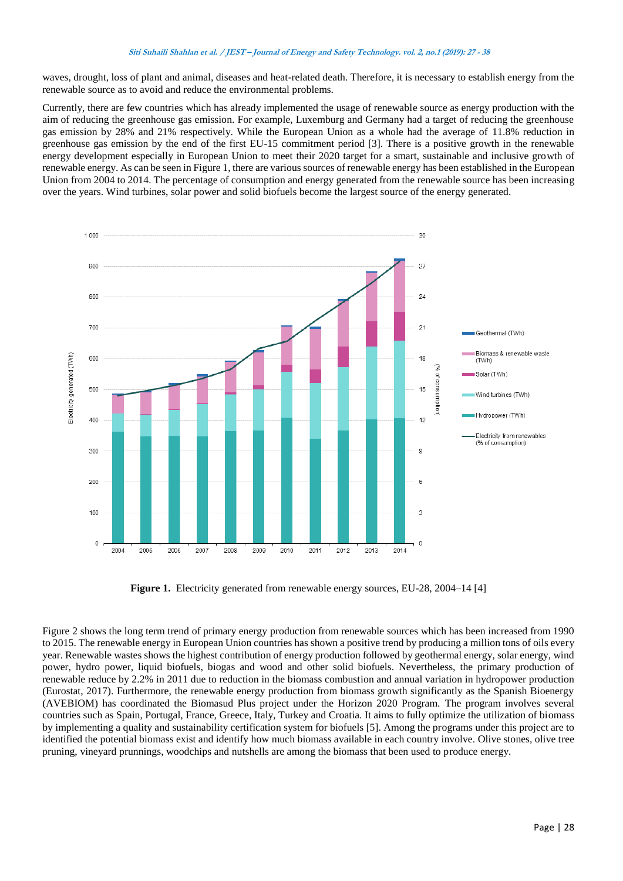waves, drought, loss of plant and animal, diseases and heat-related death. Therefore, it is necessary to establish energy from the renewable source as to avoid and reduce the environmental problems.

Currently, there are few countries which has already implemented the usage of renewable source as energy production with the aim of reducing the greenhouse gas emission. For example, Luxemburg and Germany had a target of reducing the greenhouse gas emission by 28% and 21% respectively. While the European Union as a whole had the average of 11.8% reduction in greenhouse gas emission by the end of the first EU-15 commitment period [3]. There is a positive growth in the renewable energy development especially in European Union to meet their 2020 target for a smart, sustainable and inclusive growth of renewable energy. As can be seen in Figure 1, there are various sources of renewable energy has been established in the European Union from 2004 to 2014. The percentage of consumption and energy generated from the renewable source has been increasing over the years. Wind turbines, solar power and solid biofuels become the largest source of the energy generated.



**Figure 1.** Electricity generated from renewable energy sources, EU-28, 2004–14 [4]

Figure 2 shows the long term trend of primary energy production from renewable sources which has been increased from 1990 to 2015. The renewable energy in European Union countries has shown a positive trend by producing a million tons of oils every year. Renewable wastes shows the highest contribution of energy production followed by geothermal energy, solar energy, wind power, hydro power, liquid biofuels, biogas and wood and other solid biofuels. Nevertheless, the primary production of renewable reduce by 2.2% in 2011 due to reduction in the biomass combustion and annual variation in hydropower production (Eurostat, 2017). Furthermore, the renewable energy production from biomass growth significantly as the Spanish Bioenergy (AVEBIOM) has coordinated the Biomasud Plus project under the Horizon 2020 Program. The program involves several countries such as Spain, Portugal, France, Greece, Italy, Turkey and Croatia. It aims to fully optimize the utilization of biomass by implementing a quality and sustainability certification system for biofuels [5]. Among the programs under this project are to identified the potential biomass exist and identify how much biomass available in each country involve. Olive stones, olive tree pruning, vineyard prunnings, woodchips and nutshells are among the biomass that been used to produce energy.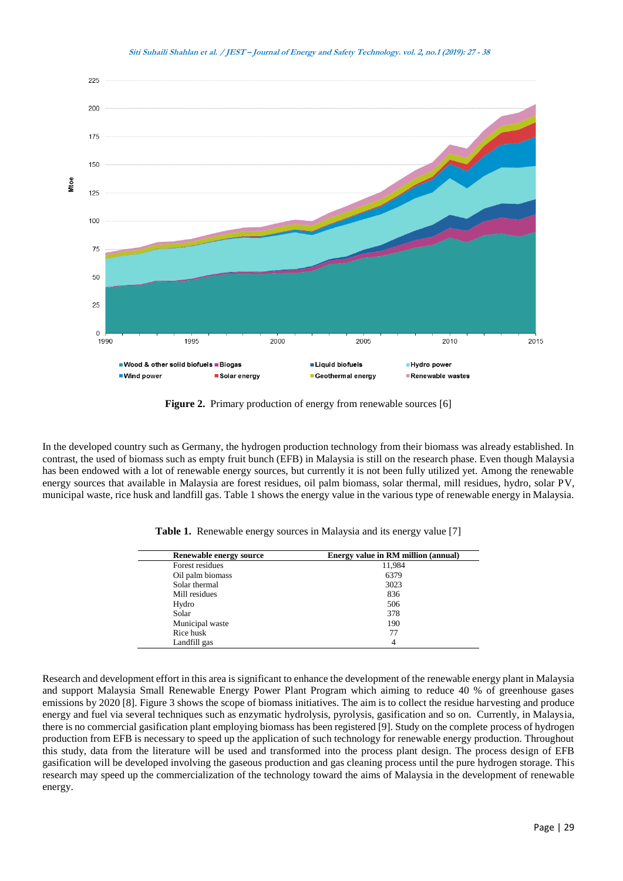

**Figure 2.** Primary production of energy from renewable sources [6]

In the developed country such as Germany, the hydrogen production technology from their biomass was already established. In contrast, the used of biomass such as empty fruit bunch (EFB) in Malaysia is still on the research phase. Even though Malaysia has been endowed with a lot of renewable energy sources, but currently it is not been fully utilized yet. Among the renewable energy sources that available in Malaysia are forest residues, oil palm biomass, solar thermal, mill residues, hydro, solar PV, municipal waste, rice husk and landfill gas. Table 1 shows the energy value in the various type of renewable energy in Malaysia.

| Renewable energy source | Energy value in RM million (annual) |
|-------------------------|-------------------------------------|
| Forest residues         | 11,984                              |
| Oil palm biomass        | 6379                                |
| Solar thermal           | 3023                                |
| Mill residues           | 836                                 |
| Hydro                   | 506                                 |
| Solar                   | 378                                 |
| Municipal waste         | 190                                 |
| Rice husk               | 77                                  |
| Landfill gas            | 4                                   |

**Table 1.** Renewable energy sources in Malaysia and its energy value [7]

Research and development effort in this area is significant to enhance the development of the renewable energy plant in Malaysia and support Malaysia Small Renewable Energy Power Plant Program which aiming to reduce 40 % of greenhouse gases emissions by 2020 [8]. Figure 3 shows the scope of biomass initiatives. The aim is to collect the residue harvesting and produce energy and fuel via several techniques such as enzymatic hydrolysis, pyrolysis, gasification and so on. Currently, in Malaysia, there is no commercial gasification plant employing biomass has been registered [9]. Study on the complete process of hydrogen production from EFB is necessary to speed up the application of such technology for renewable energy production. Throughout this study, data from the literature will be used and transformed into the process plant design. The process design of EFB gasification will be developed involving the gaseous production and gas cleaning process until the pure hydrogen storage. This research may speed up the commercialization of the technology toward the aims of Malaysia in the development of renewable energy.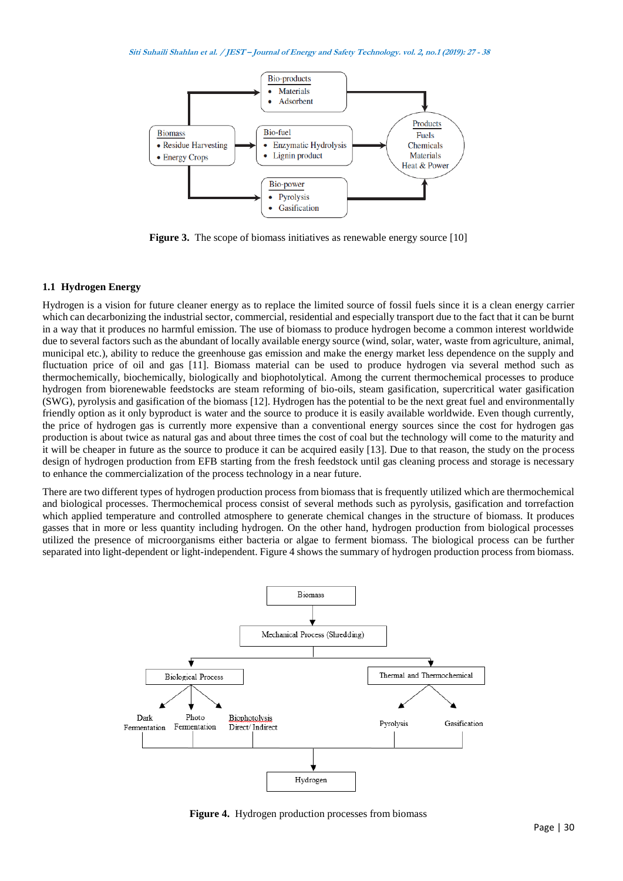

**Figure 3.** The scope of biomass initiatives as renewable energy source [10]

### **1.1 Hydrogen Energy**

Hydrogen is a vision for future cleaner energy as to replace the limited source of fossil fuels since it is a clean energy carrier which can decarbonizing the industrial sector, commercial, residential and especially transport due to the fact that it can be burnt in a way that it produces no harmful emission. The use of biomass to produce hydrogen become a common interest worldwide due to several factors such as the abundant of locally available energy source (wind, solar, water, waste from agriculture, animal, municipal etc.), ability to reduce the greenhouse gas emission and make the energy market less dependence on the supply and fluctuation price of oil and gas [11]. Biomass material can be used to produce hydrogen via several method such as thermochemically, biochemically, biologically and biophotolytical. Among the current thermochemical processes to produce hydrogen from biorenewable feedstocks are steam reforming of bio-oils, steam gasification, supercritical water gasification (SWG), pyrolysis and gasification of the biomass [12]. Hydrogen has the potential to be the next great fuel and environmentally friendly option as it only byproduct is water and the source to produce it is easily available worldwide. Even though currently, the price of hydrogen gas is currently more expensive than a conventional energy sources since the cost for hydrogen gas production is about twice as natural gas and about three times the cost of coal but the technology will come to the maturity and it will be cheaper in future as the source to produce it can be acquired easily [13]. Due to that reason, the study on the process design of hydrogen production from EFB starting from the fresh feedstock until gas cleaning process and storage is necessary to enhance the commercialization of the process technology in a near future.

There are two different types of hydrogen production process from biomass that is frequently utilized which are thermochemical and biological processes. Thermochemical process consist of several methods such as pyrolysis, gasification and torrefaction which applied temperature and controlled atmosphere to generate chemical changes in the structure of biomass. It produces gasses that in more or less quantity including hydrogen. On the other hand, hydrogen production from biological processes utilized the presence of microorganisms either bacteria or algae to ferment biomass. The biological process can be further separated into light-dependent or light-independent. Figure 4 shows the summary of hydrogen production process from biomass.



**Figure 4.** Hydrogen production processes from biomass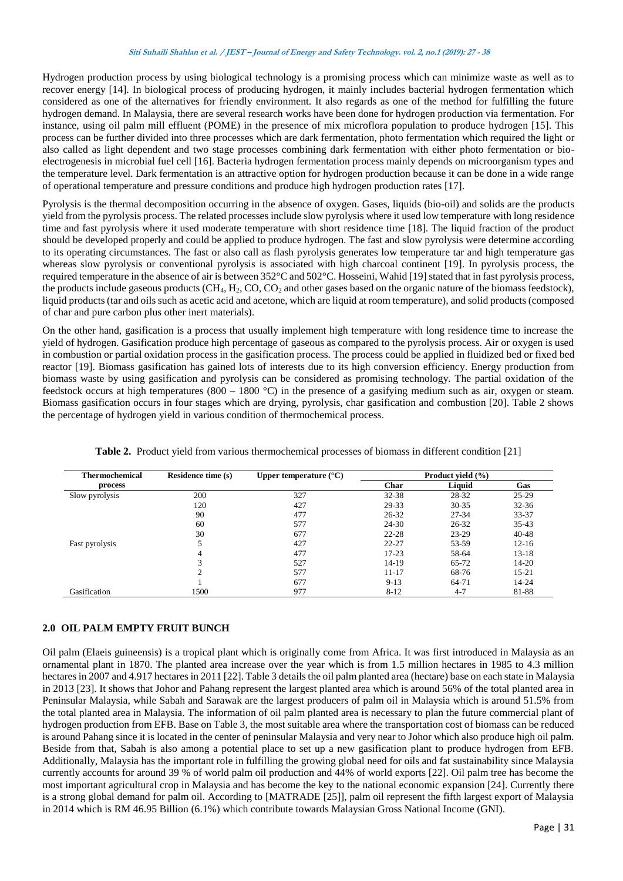Hydrogen production process by using biological technology is a promising process which can minimize waste as well as to recover energy [14]. In biological process of producing hydrogen, it mainly includes bacterial hydrogen fermentation which considered as one of the alternatives for friendly environment. It also regards as one of the method for fulfilling the future hydrogen demand. In Malaysia, there are several research works have been done for hydrogen production via fermentation. For instance, using oil palm mill effluent (POME) in the presence of mix microflora population to produce hydrogen [15]. This process can be further divided into three processes which are dark fermentation, photo fermentation which required the light or also called as light dependent and two stage processes combining dark fermentation with either photo fermentation or bioelectrogenesis in microbial fuel cell [16]. Bacteria hydrogen fermentation process mainly depends on microorganism types and the temperature level. Dark fermentation is an attractive option for hydrogen production because it can be done in a wide range of operational temperature and pressure conditions and produce high hydrogen production rates [17].

Pyrolysis is the thermal decomposition occurring in the absence of oxygen. Gases, liquids (bio-oil) and solids are the products yield from the pyrolysis process. The related processes include slow pyrolysis where it used low temperature with long residence time and fast pyrolysis where it used moderate temperature with short residence time [18]. The liquid fraction of the product should be developed properly and could be applied to produce hydrogen. The fast and slow pyrolysis were determine according to its operating circumstances. The fast or also call as flash pyrolysis generates low temperature tar and high temperature gas whereas slow pyrolysis or conventional pyrolysis is associated with high charcoal continent [19]. In pyrolysis process, the required temperature in the absence of air is between 352°C and 502°C. Hosseini, Wahid [19] stated that in fast pyrolysis process, the products include gaseous products (CH4, H2, CO, CO<sup>2</sup> and other gases based on the organic nature of the biomass feedstock), liquid products (tar and oils such as acetic acid and acetone, which are liquid at room temperature), and solid products (composed of char and pure carbon plus other inert materials).

On the other hand, gasification is a process that usually implement high temperature with long residence time to increase the yield of hydrogen. Gasification produce high percentage of gaseous as compared to the pyrolysis process. Air or oxygen is used in combustion or partial oxidation process in the gasification process. The process could be applied in fluidized bed or fixed bed reactor [19]. Biomass gasification has gained lots of interests due to its high conversion efficiency. Energy production from biomass waste by using gasification and pyrolysis can be considered as promising technology. The partial oxidation of the feedstock occurs at high temperatures (800 – 1800 °C) in the presence of a gasifying medium such as air, oxygen or steam. Biomass gasification occurs in four stages which are drying, pyrolysis, char gasification and combustion [20]. Table 2 shows the percentage of hydrogen yield in various condition of thermochemical process.

| <b>Thermochemical</b> | <b>Residence time (s)</b> | Upper temperature $(^{\circ}C)$ | Product vield (%) |           |           |
|-----------------------|---------------------------|---------------------------------|-------------------|-----------|-----------|
| process               |                           |                                 | Char              | Liquid    | Gas       |
| Slow pyrolysis        | 200                       | 327                             | $32 - 38$         | 28-32     | $25-29$   |
|                       | 120                       | 427                             | 29-33             | $30 - 35$ | $32 - 36$ |
|                       | 90                        | 477                             | $26 - 32$         | 27-34     | 33-37     |
|                       | 60                        | 577                             | 24-30             | $26 - 32$ | $35-43$   |
|                       | 30                        | 677                             | $22 - 28$         | 23-29     | $40 - 48$ |
| Fast pyrolysis        | 5                         | 427                             | $22 - 27$         | 53-59     | $12 - 16$ |
|                       | 4                         | 477                             | $17 - 23$         | 58-64     | $13 - 18$ |
|                       | 3                         | 527                             | $14-19$           | $65 - 72$ | $14 - 20$ |
|                       | $\mathcal{L}$             | 577                             | $11 - 17$         | 68-76     | $15 - 21$ |
|                       |                           | 677                             | $9 - 13$          | 64-71     | $14 - 24$ |
| Gasification          | 1500                      | 977                             | $8 - 12$          | $4 - 7$   | 81-88     |

**Table 2.** Product yield from various thermochemical processes of biomass in different condition [21]

# **2.0 OIL PALM EMPTY FRUIT BUNCH**

Oil palm (Elaeis guineensis) is a tropical plant which is originally come from Africa. It was first introduced in Malaysia as an ornamental plant in 1870. The planted area increase over the year which is from 1.5 million hectares in 1985 to 4.3 million hectares in 2007 and 4.917 hectares in 2011 [22]. Table 3 details the oil palm planted area (hectare) base on each state in Malaysia in 2013 [23]. It shows that Johor and Pahang represent the largest planted area which is around 56% of the total planted area in Peninsular Malaysia, while Sabah and Sarawak are the largest producers of palm oil in Malaysia which is around 51.5% from the total planted area in Malaysia. The information of oil palm planted area is necessary to plan the future commercial plant of hydrogen production from EFB. Base on Table 3, the most suitable area where the transportation cost of biomass can be reduced is around Pahang since it is located in the center of peninsular Malaysia and very near to Johor which also produce high oil palm. Beside from that, Sabah is also among a potential place to set up a new gasification plant to produce hydrogen from EFB. Additionally, Malaysia has the important role in fulfilling the growing global need for oils and fat sustainability since Malaysia currently accounts for around 39 % of world palm oil production and 44% of world exports [22]. Oil palm tree has become the most important agricultural crop in Malaysia and has become the key to the national economic expansion [24]. Currently there is a strong global demand for palm oil. According to [MATRADE [25]], palm oil represent the fifth largest export of Malaysia in 2014 which is RM 46.95 Billion (6.1%) which contribute towards Malaysian Gross National Income (GNI).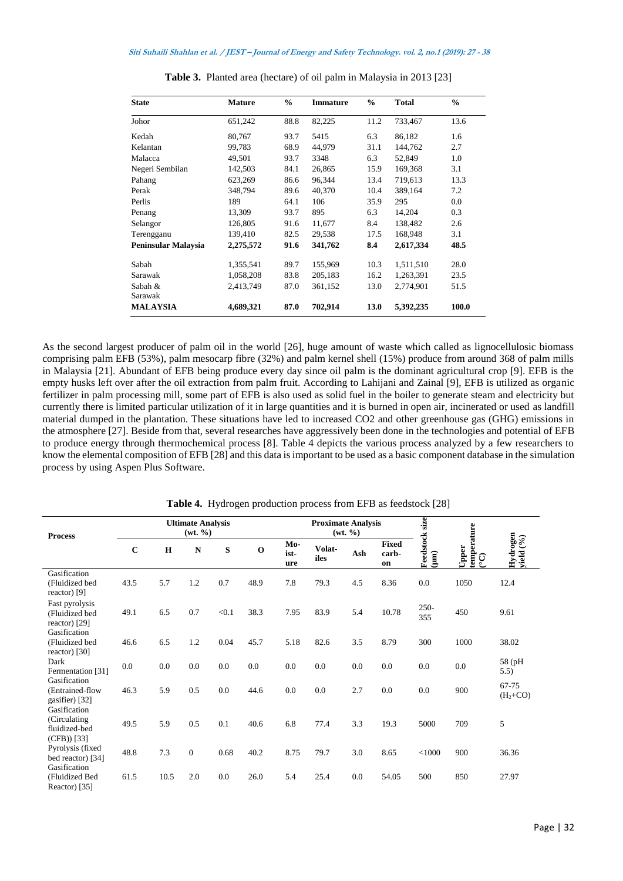| <b>State</b>        | <b>Mature</b> | $\frac{0}{0}$ | <b>Immature</b> | $\frac{0}{0}$ | <b>Total</b> | $\frac{0}{0}$ |
|---------------------|---------------|---------------|-----------------|---------------|--------------|---------------|
| Johor               | 651,242       | 88.8          | 82,225          | 11.2          | 733,467      | 13.6          |
| Kedah               | 80,767        | 93.7          | 5415            | 6.3           | 86,182       | 1.6           |
| Kelantan            | 99,783        | 68.9          | 44,979          | 31.1          | 144.762      | 2.7           |
| Malacca             | 49,501        | 93.7          | 3348            | 6.3           | 52,849       | 1.0           |
| Negeri Sembilan     | 142,503       | 84.1          | 26,865          | 15.9          | 169,368      | 3.1           |
| Pahang              | 623,269       | 86.6          | 96,344          | 13.4          | 719,613      | 13.3          |
| Perak               | 348,794       | 89.6          | 40,370          | 10.4          | 389,164      | 7.2           |
| Perlis              | 189           | 64.1          | 106             | 35.9          | 295          | 0.0           |
| Penang              | 13,309        | 93.7          | 895             | 6.3           | 14,204       | 0.3           |
| Selangor            | 126,805       | 91.6          | 11,677          | 8.4           | 138,482      | 2.6           |
| Terengganu          | 139,410       | 82.5          | 29,538          | 17.5          | 168,948      | 3.1           |
| Peninsular Malaysia | 2,275,572     | 91.6          | 341,762         | 8.4           | 2,617,334    | 48.5          |
| Sabah               | 1,355,541     | 89.7          | 155,969         | 10.3          | 1,511,510    | 28.0          |
| Sarawak             | 1,058,208     | 83.8          | 205,183         | 16.2          | 1,263,391    | 23.5          |
| Sabah &<br>Sarawak  | 2,413,749     | 87.0          | 361,152         | 13.0          | 2,774,901    | 51.5          |
| <b>MALAYSIA</b>     | 4,689,321     | 87.0          | 702,914         | 13.0          | 5,392,235    | 100.0         |

**Table 3.** Planted area (hectare) of oil palm in Malaysia in 2013 [23]

As the second largest producer of palm oil in the world [26], huge amount of waste which called as lignocellulosic biomass comprising palm EFB (53%), palm mesocarp fibre (32%) and palm kernel shell (15%) produce from around 368 of palm mills in Malaysia [21]. Abundant of EFB being produce every day since oil palm is the dominant agricultural crop [9]. EFB is the empty husks left over after the oil extraction from palm fruit. According to Lahijani and Zainal [9], EFB is utilized as organic fertilizer in palm processing mill, some part of EFB is also used as solid fuel in the boiler to generate steam and electricity but currently there is limited particular utilization of it in large quantities and it is burned in open air, incinerated or used as landfill material dumped in the plantation. These situations have led to increased CO2 and other greenhouse gas (GHG) emissions in the atmosphere [27]. Beside from that, several researches have aggressively been done in the technologies and potential of EFB to produce energy through thermochemical process [8]. Table 4 depicts the various process analyzed by a few researchers to know the elemental composition of EFB [28] and this data is important to be used as a basic component database in the simulation process by using Aspen Plus Software.

| <b>Process</b>                                                 | <b>Ultimate Analysis</b><br>(wt. % ) |             |              |         |             |                    | <b>Proximate Analysis</b><br>(wt. % ) |         |                      |                                  |                            |                              |
|----------------------------------------------------------------|--------------------------------------|-------------|--------------|---------|-------------|--------------------|---------------------------------------|---------|----------------------|----------------------------------|----------------------------|------------------------------|
|                                                                | $\mathbf C$                          | $\mathbf H$ | ${\bf N}$    | S       | $\mathbf 0$ | Mo-<br>ist-<br>ure | Volat-<br>iles                        | Ash     | Fixed<br>carb-<br>on | Feedstock size<br>$\binom{m}{k}$ | temperature<br>Upper<br>଼ି | Hydrogen<br>vield $(%$ o $)$ |
| Gasification<br>(Fluidized bed<br>reactor) $[9]$               | 43.5                                 | 5.7         | 1.2          | 0.7     | 48.9        | 7.8                | 79.3                                  | 4.5     | 8.36                 | 0.0                              | 1050                       | 12.4                         |
| Fast pyrolysis<br>(Fluidized bed<br>reactor) [29]              | 49.1                                 | 6.5         | 0.7          | < 0.1   | 38.3        | 7.95               | 83.9                                  | 5.4     | 10.78                | $250 -$<br>355                   | 450                        | 9.61                         |
| Gasification<br>(Fluidized bed<br>reactor) $[30]$              | 46.6                                 | 6.5         | 1.2          | 0.04    | 45.7        | 5.18               | 82.6                                  | 3.5     | 8.79                 | 300                              | 1000                       | 38.02                        |
| Dark<br>Fermentation [31]                                      | 0.0                                  | 0.0         | 0.0          | 0.0     | 0.0         | 0.0                | 0.0                                   | 0.0     | 0.0                  | $0.0\,$                          | 0.0                        | 58 (pH<br>5.5)               |
| Gasification<br>(Entrained-flow<br>gasifier) [32]              | 46.3                                 | 5.9         | 0.5          | 0.0     | 44.6        | 0.0                | 0.0                                   | 2.7     | 0.0                  | $0.0\,$                          | 900                        | 67-75<br>$(H2+CO)$           |
| Gasification<br>(Circulating)<br>fluidized-bed<br>$(CFB)$ [33] | 49.5                                 | 5.9         | 0.5          | 0.1     | 40.6        | 6.8                | 77.4                                  | 3.3     | 19.3                 | 5000                             | 709                        | 5                            |
| Pyrolysis (fixed<br>bed reactor) [34]                          | 48.8                                 | 7.3         | $\mathbf{0}$ | 0.68    | 40.2        | 8.75               | 79.7                                  | 3.0     | 8.65                 | $<$ 1000                         | 900                        | 36.36                        |
| Gasification<br>(Fluidized Bed<br>Reactor) [35]                | 61.5                                 | 10.5        | 2.0          | $0.0\,$ | 26.0        | 5.4                | 25.4                                  | $0.0\,$ | 54.05                | 500                              | 850                        | 27.97                        |

**Table 4.** Hydrogen production process from EFB as feedstock [28]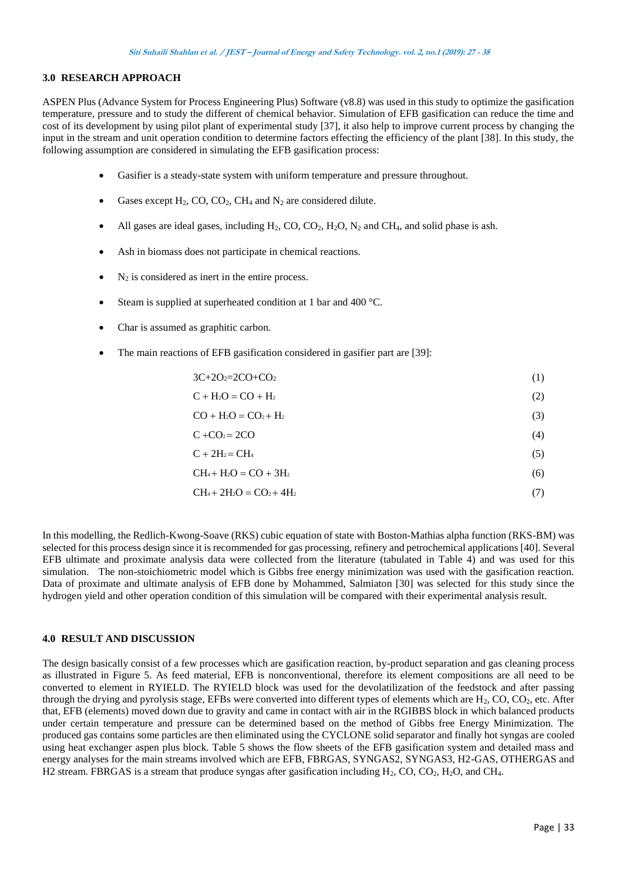### **3.0 RESEARCH APPROACH**

ASPEN Plus (Advance System for Process Engineering Plus) Software (v8.8) was used in this study to optimize the gasification temperature, pressure and to study the different of chemical behavior. Simulation of EFB gasification can reduce the time and cost of its development by using pilot plant of experimental study [37], it also help to improve current process by changing the input in the stream and unit operation condition to determine factors effecting the efficiency of the plant [38]. In this study, the following assumption are considered in simulating the EFB gasification process:

- Gasifier is a steady-state system with uniform temperature and pressure throughout.
- Gases except  $H_2$ , CO, CO<sub>2</sub>, CH<sub>4</sub> and  $N_2$  are considered dilute.
- All gases are ideal gases, including  $H_2$ , CO, CO<sub>2</sub>,  $H_2$ O, N<sub>2</sub> and CH<sub>4</sub>, and solid phase is ash.
- Ash in biomass does not participate in chemical reactions.
- N<sup>2</sup> is considered as inert in the entire process.
- Steam is supplied at superheated condition at 1 bar and 400 °C.
- Char is assumed as graphitic carbon.
- The main reactions of EFB gasification considered in gasifier part are [39]:

 $3C+2O<sub>2</sub>=2CO+CO<sub>2</sub>$  (1)

 $C + H_2O = CO + H_2$  (2)

 $CO + H<sub>2</sub>O = CO<sub>2</sub> + H<sub>2</sub>$  (3)

$$
C + CO2 = 2CO
$$
 (4)

$$
C + 2H_2 = CH_4 \tag{5}
$$

$$
CH_4 + H_2O = CO + 3H_2
$$
\n
$$
(6)
$$

$$
CH_4 + 2H_2O = CO_2 + 4H_2
$$
\n<sup>(7)</sup>

In this modelling, the Redlich-Kwong-Soave (RKS) cubic equation of state with Boston-Mathias alpha function (RKS-BM) was selected for this process design since it is recommended for gas processing, refinery and petrochemical applications [40]. Several EFB ultimate and proximate analysis data were collected from the literature (tabulated in Table 4) and was used for this simulation. The non-stoichiometric model which is Gibbs free energy minimization was used with the gasification reaction. Data of proximate and ultimate analysis of EFB done by Mohammed, Salmiaton [30] was selected for this study since the hydrogen yield and other operation condition of this simulation will be compared with their experimental analysis result.

### **4.0 RESULT AND DISCUSSION**

The design basically consist of a few processes which are gasification reaction, by-product separation and gas cleaning process as illustrated in Figure 5. As feed material, EFB is nonconventional, therefore its element compositions are all need to be converted to element in RYIELD. The RYIELD block was used for the devolatilization of the feedstock and after passing through the drying and pyrolysis stage, EFBs were converted into different types of elements which are  $H_2$ , CO, CO<sub>2</sub>, etc. After that, EFB (elements) moved down due to gravity and came in contact with air in the RGIBBS block in which balanced products under certain temperature and pressure can be determined based on the method of Gibbs free Energy Minimization. The produced gas contains some particles are then eliminated using the CYCLONE solid separator and finally hot syngas are cooled using heat exchanger aspen plus block. Table 5 shows the flow sheets of the EFB gasification system and detailed mass and energy analyses for the main streams involved which are EFB, FBRGAS, SYNGAS2, SYNGAS3, H2-GAS, OTHERGAS and H2 stream. FBRGAS is a stream that produce syngas after gasification including  $H_2$ , CO, CO<sub>2</sub>, H<sub>2</sub>O, and CH<sub>4</sub>.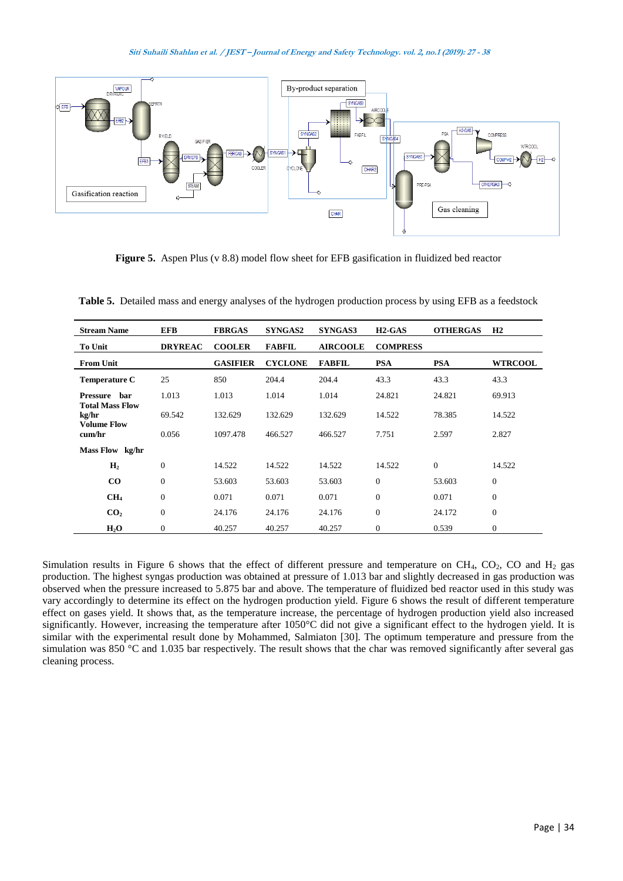

**Figure 5.** Aspen Plus (v 8.8) model flow sheet for EFB gasification in fluidized bed reactor

| <b>Stream Name</b>                                    | <b>EFB</b>       | <b>FBRGAS</b>   | <b>SYNGAS2</b> | <b>SYNGAS3</b>  | $H2-GAS$         | <b>OTHERGAS</b> | H2             |
|-------------------------------------------------------|------------------|-----------------|----------------|-----------------|------------------|-----------------|----------------|
| <b>To Unit</b>                                        | <b>DRYREAC</b>   | <b>COOLER</b>   | <b>FABFIL</b>  | <b>AIRCOOLE</b> | <b>COMPRESS</b>  |                 |                |
| <b>From Unit</b>                                      |                  | <b>GASIFIER</b> | <b>CYCLONE</b> | <b>FABFIL</b>   | <b>PSA</b>       | <b>PSA</b>      | <b>WTRCOOL</b> |
| <b>Temperature C</b>                                  | 25               | 850             | 204.4          | 204.4           | 43.3             | 43.3            | 43.3           |
| har<br>Pressure                                       | 1.013            | 1.013           | 1.014          | 1.014           | 24.821           | 24.821          | 69.913         |
| <b>Total Mass Flow</b><br>kg/hr<br><b>Volume Flow</b> | 69.542           | 132.629         | 132.629        | 132.629         | 14.522           | 78.385          | 14.522         |
| cum/hr                                                | 0.056            | 1097.478        | 466.527        | 466.527         | 7.751            | 2.597           | 2.827          |
| Mass Flow kg/hr                                       |                  |                 |                |                 |                  |                 |                |
| H <sub>2</sub>                                        | $\theta$         | 14.522          | 14.522         | 14.522          | 14.522           | $\mathbf{0}$    | 14.522         |
| $\rm{CO}$                                             | $\theta$         | 53.603          | 53.603         | 53.603          | $\mathbf{0}$     | 53.603          | $\mathbf{0}$   |
| CH <sub>4</sub>                                       | $\theta$         | 0.071           | 0.071          | 0.071           | $\mathbf{0}$     | 0.071           | $\Omega$       |
| CO <sub>2</sub>                                       | $\theta$         | 24.176          | 24.176         | 24.176          | $\mathbf{0}$     | 24.172          | $\mathbf{0}$   |
| $H_2O$                                                | $\boldsymbol{0}$ | 40.257          | 40.257         | 40.257          | $\boldsymbol{0}$ | 0.539           | $\mathbf{0}$   |

**Table 5.** Detailed mass and energy analyses of the hydrogen production process by using EFB as a feedstock

Simulation results in Figure 6 shows that the effect of different pressure and temperature on  $CH_4$ ,  $CO_2$ ,  $CO$  and  $H_2$  gas production. The highest syngas production was obtained at pressure of 1.013 bar and slightly decreased in gas production was observed when the pressure increased to 5.875 bar and above. The temperature of fluidized bed reactor used in this study was vary accordingly to determine its effect on the hydrogen production yield. Figure 6 shows the result of different temperature effect on gases yield. It shows that, as the temperature increase, the percentage of hydrogen production yield also increased significantly. However, increasing the temperature after 1050°C did not give a significant effect to the hydrogen yield. It is similar with the experimental result done by Mohammed, Salmiaton [30]. The optimum temperature and pressure from the simulation was 850 °C and 1.035 bar respectively. The result shows that the char was removed significantly after several gas cleaning process.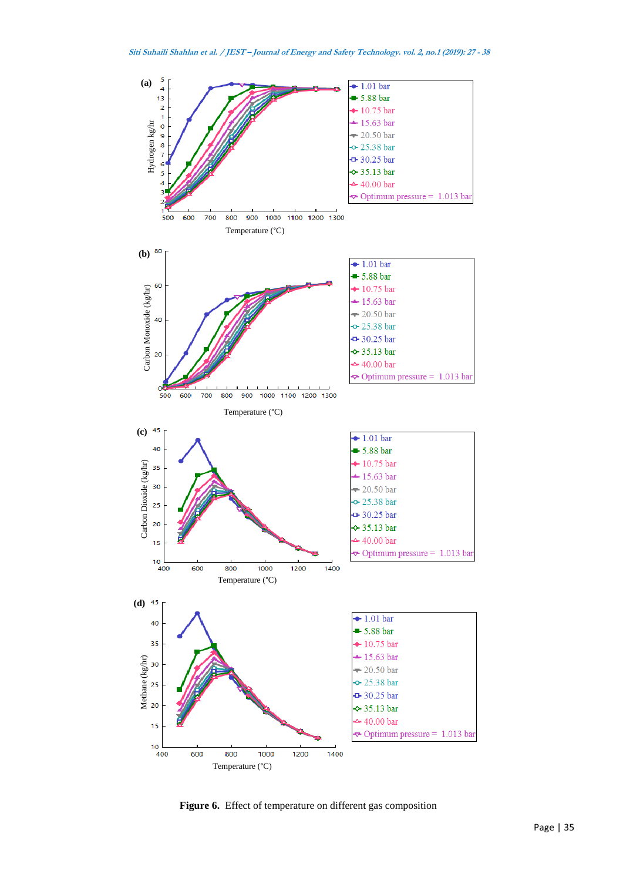

**Figure 6.** Effect of temperature on different gas composition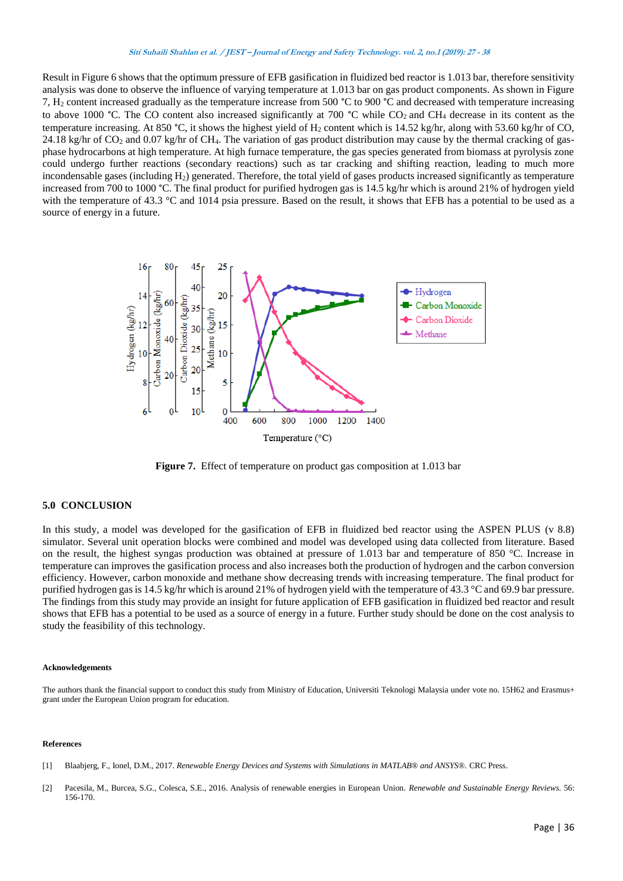Result in Figure 6 shows that the optimum pressure of EFB gasification in fluidized bed reactor is 1.013 bar, therefore sensitivity analysis was done to observe the influence of varying temperature at 1.013 bar on gas product components. As shown in Figure 7, H<sup>2</sup> content increased gradually as the temperature increase from 500 °C to 900 °C and decreased with temperature increasing to above 1000 °C. The CO content also increased significantly at 700 °C while  $CO_2$  and CH<sub>4</sub> decrease in its content as the temperature increasing. At 850 °C, it shows the highest yield of  $H_2$  content which is 14.52 kg/hr, along with 53.60 kg/hr of CO, 24.18 kg/hr of  $CO_2$  and 0.07 kg/hr of CH<sub>4</sub>. The variation of gas product distribution may cause by the thermal cracking of gasphase hydrocarbons at high temperature. At high furnace temperature, the gas species generated from biomass at pyrolysis zone could undergo further reactions (secondary reactions) such as tar cracking and shifting reaction, leading to much more incondensable gases (including H<sub>2</sub>) generated. Therefore, the total yield of gases products increased significantly as temperature increased from 700 to 1000 °C. The final product for purified hydrogen gas is 14.5 kg/hr which is around 21% of hydrogen yield with the temperature of 43.3 °C and 1014 psia pressure. Based on the result, it shows that EFB has a potential to be used as a source of energy in a future.



**Figure 7.** Effect of temperature on product gas composition at 1.013 bar

### **5.0 CONCLUSION**

In this study, a model was developed for the gasification of EFB in fluidized bed reactor using the ASPEN PLUS (v 8.8) simulator. Several unit operation blocks were combined and model was developed using data collected from literature. Based on the result, the highest syngas production was obtained at pressure of 1.013 bar and temperature of 850 °C. Increase in temperature can improves the gasification process and also increases both the production of hydrogen and the carbon conversion efficiency. However, carbon monoxide and methane show decreasing trends with increasing temperature. The final product for purified hydrogen gas is 14.5 kg/hr which is around 21% of hydrogen yield with the temperature of 43.3 °C and 69.9 bar pressure. The findings from this study may provide an insight for future application of EFB gasification in fluidized bed reactor and result shows that EFB has a potential to be used as a source of energy in a future. Further study should be done on the cost analysis to study the feasibility of this technology.

#### **Acknowledgements**

The authors thank the financial support to conduct this study from Ministry of Education, Universiti Teknologi Malaysia under vote no. 15H62 and Erasmus+ grant under the European Union program for education.

#### **References**

- [1] Blaabjerg, F., Ionel, D.M., 2017. *Renewable Energy Devices and Systems with Simulations in MATLAB® and ANSYS®.* CRC Press.
- [2] Pacesila, M., Burcea, S.G., Colesca, S.E., 2016. Analysis of renewable energies in European Union. *Renewable and Sustainable Energy Reviews.* 56: 156-170.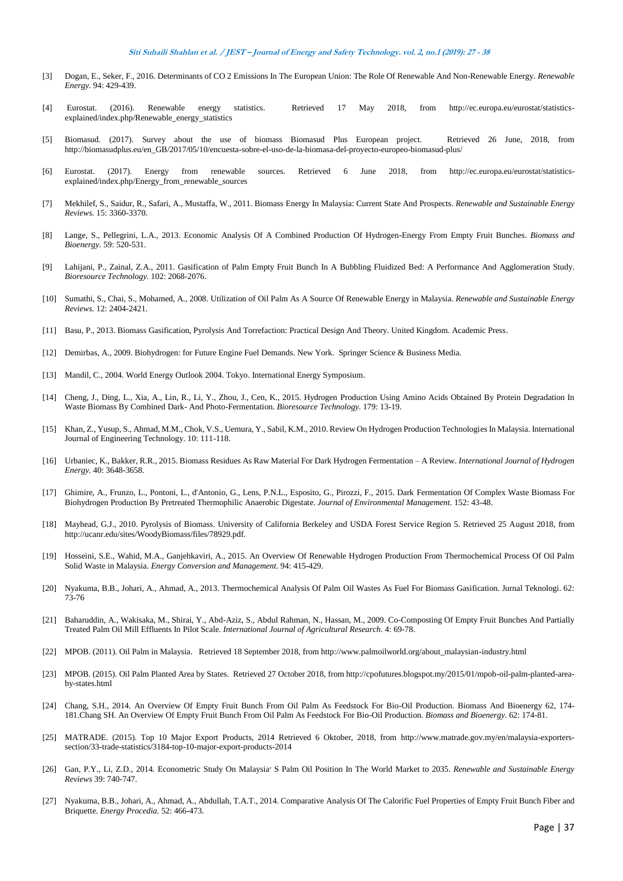- [3] Dogan, E., Seker, F., 2016. Determinants of CO 2 Emissions In The European Union: The Role Of Renewable And Non-Renewable Energy. *Renewable Energy.* 94: 429-439.
- [4] Eurostat. (2016). Renewable energy statistics. Retrieved 17 May 2018, from http://ec.europa.eu/eurostat/statisticsexplained/index.php/Renewable\_energy\_statistics
- [5] Biomasud. (2017). Survey about the use of biomass Biomasud Plus European project. Retrieved 26 June, 2018, from http://biomasudplus.eu/en\_GB/2017/05/10/encuesta-sobre-el-uso-de-la-biomasa-del-proyecto-europeo-biomasud-plus/
- [6] Eurostat. (2017). Energy from renewable sources. Retrieved 6 June 2018, from http://ec.europa.eu/eurostat/statisticsexplained/index.php/Energy\_from\_renewable\_sources
- [7] Mekhilef, S., Saidur, R., Safari, A., Mustaffa, W., 2011. Biomass Energy In Malaysia: Current State And Prospects. *Renewable and Sustainable Energy Reviews.* 15: 3360-3370.
- [8] Lange, S., Pellegrini, L.A., 2013. Economic Analysis Of A Combined Production Of Hydrogen-Energy From Empty Fruit Bunches. *Biomass and Bioenergy.* 59: 520-531.
- [9] Lahijani, P., Zainal, Z.A., 2011. Gasification of Palm Empty Fruit Bunch In A Bubbling Fluidized Bed: A Performance And Agglomeration Study. *Bioresource Technology.* 102: 2068-2076.
- [10] Sumathi, S., Chai, S., Mohamed, A., 2008. Utilization of Oil Palm As A Source Of Renewable Energy in Malaysia. *Renewable and Sustainable Energy Reviews.* 12: 2404-2421.
- [11] Basu, P., 2013. Biomass Gasification, Pyrolysis And Torrefaction: Practical Design And Theory. United Kingdom. Academic Press.
- [12] Demirbas, A., 2009. Biohydrogen: for Future Engine Fuel Demands. New York. Springer Science & Business Media.
- [13] Mandil, C., 2004. World Energy Outlook 2004. Tokyo. International Energy Symposium.
- [14] Cheng, J., Ding, L., Xia, A., Lin, R., Li, Y., Zhou, J., Cen, K., 2015. Hydrogen Production Using Amino Acids Obtained By Protein Degradation In Waste Biomass By Combined Dark- And Photo-Fermentation. *Bioresource Technology.* 179: 13-19.
- [15] Khan, Z., Yusup, S., Ahmad, M.M., Chok, V.S., Uemura, Y., Sabil, K.M., 2010. Review On Hydrogen Production Technologies In Malaysia. International Journal of Engineering Technology. 10: 111-118.
- [16] Urbaniec, K., Bakker, R.R., 2015. Biomass Residues As Raw Material For Dark Hydrogen Fermentation A Review. *International Journal of Hydrogen Energy.* 40: 3648-3658.
- [17] Ghimire, A., Frunzo, L., Pontoni, L., d'Antonio, G., Lens, P.N.L., Esposito, G., Pirozzi, F., 2015. Dark Fermentation Of Complex Waste Biomass For Biohydrogen Production By Pretreated Thermophilic Anaerobic Digestate. *Journal of Environmental Management.* 152: 43-48.
- [18] Mayhead, G.J., 2010. Pyrolysis of Biomass. University of California Berkeley and USDA Forest Service Region 5. Retrieved 25 August 2018, from http://ucanr.edu/sites/WoodyBiomass/files/78929.pdf.
- [19] Hosseini, S.E., Wahid, M.A., Ganjehkaviri, A., 2015. An Overview Of Renewable Hydrogen Production From Thermochemical Process Of Oil Palm Solid Waste in Malaysia. *Energy Conversion and Management.* 94: 415-429.
- [20] Nyakuma, B.B., Johari, A., Ahmad, A., 2013. Thermochemical Analysis Of Palm Oil Wastes As Fuel For Biomass Gasification. Jurnal Teknologi. 62: 73-76
- [21] Baharuddin, A., Wakisaka, M., Shirai, Y., Abd-Aziz, S., Abdul Rahman, N., Hassan, M., 2009. Co-Composting Of Empty Fruit Bunches And Partially Treated Palm Oil Mill Effluents In Pilot Scale. *International Journal of Agricultural Research.* 4: 69-78.
- [22] MPOB. (2011). Oil Palm in Malaysia. Retrieved 18 September 2018, from http://www.palmoilworld.org/about\_malaysian-industry.html
- [23] MPOB. (2015). Oil Palm Planted Area by States. Retrieved 27 October 2018, from http://cpofutures.blogspot.my/2015/01/mpob-oil-palm-planted-areaby-states.html
- [24] Chang, S.H., 2014. An Overview Of Empty Fruit Bunch From Oil Palm As Feedstock For Bio-Oil Production. Biomass And Bioenergy 62, 174-181.Chang SH. An Overview Of Empty Fruit Bunch From Oil Palm As Feedstock For Bio-Oil Production. *Biomass and Bioenergy.* 62: 174-81.
- [25] MATRADE. (2015). Top 10 Major Export Products, 2014 Retrieved 6 Oktober, 2018, from http://www.matrade.gov.my/en/malaysia-exporterssection/33-trade-statistics/3184-top-10-major-export-products-2014
- [26] Gan, P.Y., Li, Z.D., 2014. Econometric Study On Malaysia׳ S Palm Oil Position In The World Market to 2035. *Renewable and Sustainable Energy Reviews* 39: 740-747.
- [27] Nyakuma, B.B., Johari, A., Ahmad, A., Abdullah, T.A.T., 2014. Comparative Analysis Of The Calorific Fuel Properties of Empty Fruit Bunch Fiber and Briquette. *Energy Procedia.* 52: 466-473.